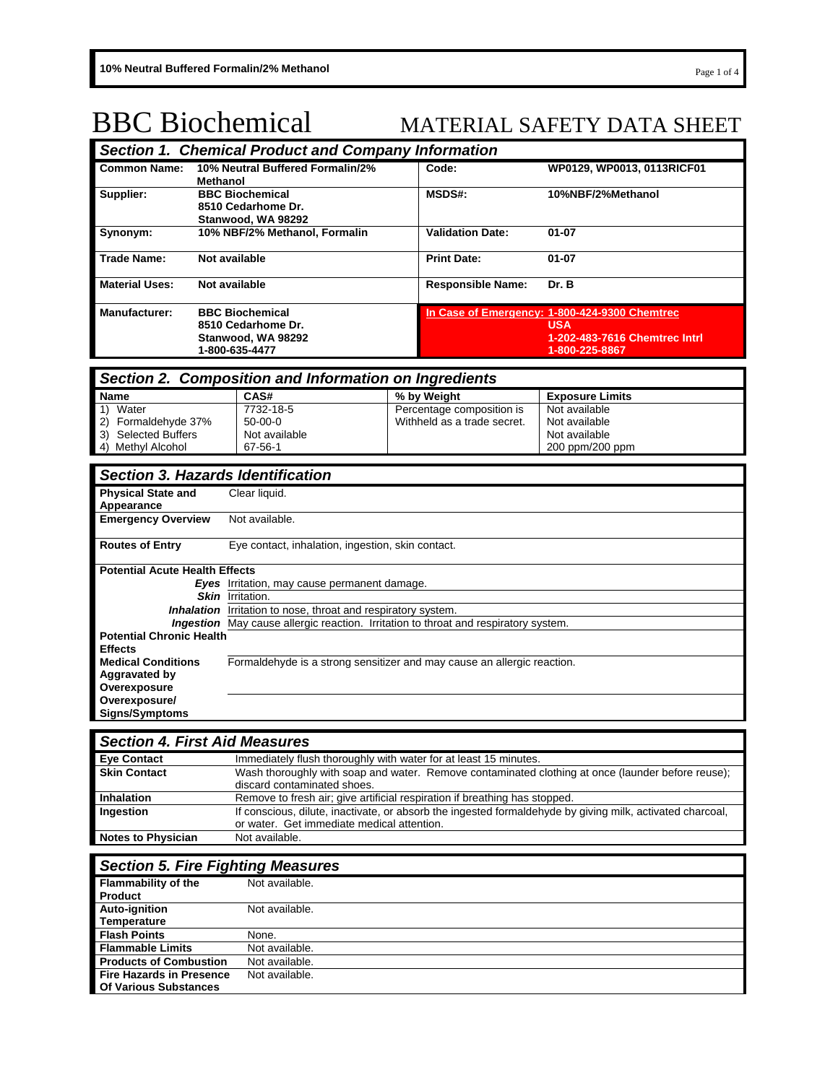# BBC Biochemical MATERIAL SAFETY DATA SHEET

| <b>Section 1. Chemical Product and Company Information</b> |                                                                                      |                          |                                                                                                                |  |
|------------------------------------------------------------|--------------------------------------------------------------------------------------|--------------------------|----------------------------------------------------------------------------------------------------------------|--|
| <b>Common Name:</b>                                        | 10% Neutral Buffered Formalin/2%<br>Methanol                                         | Code:                    | WP0129, WP0013, 0113RICF01                                                                                     |  |
| Supplier:                                                  | <b>BBC Biochemical</b><br>8510 Cedarhome Dr.<br>Stanwood, WA 98292                   | <b>MSDS#:</b>            | 10%NBF/2%Methanol                                                                                              |  |
| Synonym:                                                   | 10% NBF/2% Methanol, Formalin                                                        | <b>Validation Date:</b>  | $01 - 07$                                                                                                      |  |
| <b>Trade Name:</b>                                         | Not available                                                                        | <b>Print Date:</b>       | $01 - 07$                                                                                                      |  |
| <b>Material Uses:</b>                                      | Not available                                                                        | <b>Responsible Name:</b> | Dr. B                                                                                                          |  |
| <b>Manufacturer:</b>                                       | <b>BBC Biochemical</b><br>8510 Cedarhome Dr.<br>Stanwood, WA 98292<br>1-800-635-4477 |                          | In Case of Emergency: 1-800-424-9300 Chemtrec<br><b>USA</b><br>1-202-483-7616 Chemtrec Intrl<br>1-800-225-8867 |  |

# *Section 2. Composition and Information on Ingredients*

| <b>Name</b>             | CAS#          | % by Weight                 | <b>Exposure Limits</b> |
|-------------------------|---------------|-----------------------------|------------------------|
| Water                   | 7732-18-5     | Percentage composition is   | Not available          |
| Formaldehvde 37%<br>(2) | $50 - 00 - 0$ | Withheld as a trade secret. | Not available          |
| Selected Buffers<br>3)  | Not available |                             | Not available          |
| 4) Methyl Alcohol       | 67-56-1       |                             | 200 ppm/200 ppm        |

| <b>Section 3. Hazards Identification</b> |                                                                                            |  |
|------------------------------------------|--------------------------------------------------------------------------------------------|--|
| <b>Physical State and</b><br>Appearance  | Clear liquid.                                                                              |  |
| <b>Emergency Overview</b>                | Not available.                                                                             |  |
| <b>Routes of Entry</b>                   | Eye contact, inhalation, ingestion, skin contact.                                          |  |
| <b>Potential Acute Health Effects</b>    |                                                                                            |  |
|                                          | <b>Eyes</b> Irritation, may cause permanent damage.                                        |  |
|                                          | <b>Skin</b> Irritation.                                                                    |  |
|                                          | <b>Inhalation</b> Irritation to nose, throat and respiratory system.                       |  |
|                                          | <b>Ingestion</b> May cause allergic reaction. Irritation to throat and respiratory system. |  |
| <b>Potential Chronic Health</b>          |                                                                                            |  |
| <b>Effects</b>                           |                                                                                            |  |
| <b>Medical Conditions</b>                | Formaldehyde is a strong sensitizer and may cause an allergic reaction.                    |  |
| Aggravated by<br>Overexposure            |                                                                                            |  |
| Overexposure/                            |                                                                                            |  |
| <b>Signs/Symptoms</b>                    |                                                                                            |  |

| <b>Section 4. First Aid Measures</b> |                                                                                                                                                         |
|--------------------------------------|---------------------------------------------------------------------------------------------------------------------------------------------------------|
| <b>Eye Contact</b>                   | Immediately flush thoroughly with water for at least 15 minutes.                                                                                        |
| <b>Skin Contact</b>                  | Wash thoroughly with soap and water. Remove contaminated clothing at once (launder before reuse);<br>discard contaminated shoes.                        |
| Inhalation                           | Remove to fresh air; give artificial respiration if breathing has stopped.                                                                              |
| Ingestion                            | If conscious, dilute, inactivate, or absorb the ingested formaldehyde by giving milk, activated charcoal,<br>or water. Get immediate medical attention. |
| <b>Notes to Physician</b>            | Not available.                                                                                                                                          |

# *Section 5. Fire Fighting Measures*

| <b>Flammability of the</b>      | Not available. |
|---------------------------------|----------------|
| <b>Product</b>                  |                |
| <b>Auto-ignition</b>            | Not available. |
| Temperature                     |                |
| <b>Flash Points</b>             | None.          |
| <b>Flammable Limits</b>         | Not available. |
| <b>Products of Combustion</b>   | Not available. |
| <b>Fire Hazards in Presence</b> | Not available. |
| <b>Of Various Substances</b>    |                |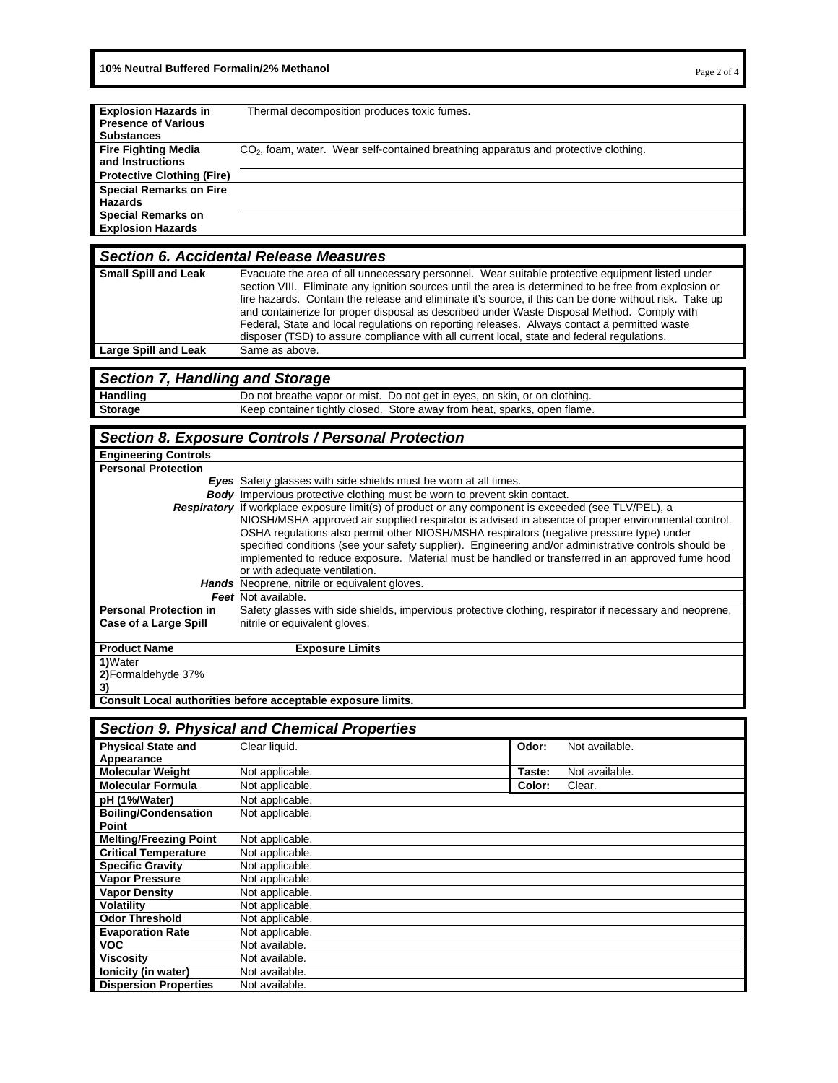**10% Neutral Buffered Formalin/2% Methanol Page 2 of 4 Page 2 of 4 Page 2 of 4** 

| <b>Explosion Hazards in</b>       | Thermal decomposition produces toxic fumes.                                           |
|-----------------------------------|---------------------------------------------------------------------------------------|
| <b>Presence of Various</b>        |                                                                                       |
| <b>Substances</b>                 |                                                                                       |
| <b>Fire Fighting Media</b>        | $CO2$ , foam, water. Wear self-contained breathing apparatus and protective clothing. |
| and Instructions                  |                                                                                       |
| <b>Protective Clothing (Fire)</b> |                                                                                       |
| <b>Special Remarks on Fire</b>    |                                                                                       |
| <b>Hazards</b>                    |                                                                                       |
| <b>Special Remarks on</b>         |                                                                                       |
| <b>Explosion Hazards</b>          |                                                                                       |

#### *Section 6. Accidental Release Measures*

| <b>Small Spill and Leak</b> | Evacuate the area of all unnecessary personnel. Wear suitable protective equipment listed under<br>section VIII. Eliminate any ignition sources until the area is determined to be free from explosion or<br>fire hazards. Contain the release and eliminate it's source, if this can be done without risk. Take up<br>and containerize for proper disposal as described under Waste Disposal Method. Comply with<br>Federal, State and local regulations on reporting releases. Always contact a permitted waste<br>disposer (TSD) to assure compliance with all current local, state and federal regulations. |
|-----------------------------|-----------------------------------------------------------------------------------------------------------------------------------------------------------------------------------------------------------------------------------------------------------------------------------------------------------------------------------------------------------------------------------------------------------------------------------------------------------------------------------------------------------------------------------------------------------------------------------------------------------------|
| <b>Large Spill and Leak</b> | Same as above.                                                                                                                                                                                                                                                                                                                                                                                                                                                                                                                                                                                                  |
|                             |                                                                                                                                                                                                                                                                                                                                                                                                                                                                                                                                                                                                                 |

# *Section 7, Handling and Storage*

| Handling       | Do not breathe vapor or mist. Do not get in eyes, on skin, or on clothing. |
|----------------|----------------------------------------------------------------------------|
| <b>Storage</b> | Keep container tightly closed. Store away from heat, sparks, open flame.   |
|                |                                                                            |

# *Section 8. Exposure Controls / Personal Protection*

| <b>Engineering Controls</b>   |                                                                                                            |
|-------------------------------|------------------------------------------------------------------------------------------------------------|
| <b>Personal Protection</b>    |                                                                                                            |
|                               | <b>Eyes</b> Safety glasses with side shields must be worn at all times.                                    |
|                               | <b>Body</b> Impervious protective clothing must be worn to prevent skin contact.                           |
|                               | <b>Respiratory</b> If workplace exposure limit(s) of product or any component is exceeded (see TLV/PEL), a |
|                               | NIOSH/MSHA approved air supplied respirator is advised in absence of proper environmental control.         |
|                               | OSHA regulations also permit other NIOSH/MSHA respirators (negative pressure type) under                   |
|                               | specified conditions (see your safety supplier). Engineering and/or administrative controls should be      |
|                               | implemented to reduce exposure. Material must be handled or transferred in an approved fume hood           |
|                               | or with adequate ventilation.                                                                              |
|                               | <b>Hands</b> Neoprene, nitrile or equivalent gloves.                                                       |
|                               | Feet Not available.                                                                                        |
| <b>Personal Protection in</b> | Safety glasses with side shields, impervious protective clothing, respirator if necessary and neoprene,    |
| Case of a Large Spill         | nitrile or equivalent gloves.                                                                              |
|                               |                                                                                                            |
| <b>Product Name</b>           | <b>Exposure Limits</b>                                                                                     |
| 1)Water                       |                                                                                                            |
| 2) Formaldehyde 37%           |                                                                                                            |

**Consult Local authorities before acceptable exposure limits.** 

**3)**

|                               | <b>Section 9. Physical and Chemical Properties</b> |        |                |
|-------------------------------|----------------------------------------------------|--------|----------------|
| <b>Physical State and</b>     | Clear liquid.                                      | Odor:  | Not available. |
| Appearance                    |                                                    |        |                |
| <b>Molecular Weight</b>       | Not applicable.                                    | Taste: | Not available. |
| <b>Molecular Formula</b>      | Not applicable.                                    | Color: | Clear.         |
| pH (1%/Water)                 | Not applicable.                                    |        |                |
| <b>Boiling/Condensation</b>   | Not applicable.                                    |        |                |
| Point                         |                                                    |        |                |
| <b>Melting/Freezing Point</b> | Not applicable.                                    |        |                |
| <b>Critical Temperature</b>   | Not applicable.                                    |        |                |
| <b>Specific Gravity</b>       | Not applicable.                                    |        |                |
| <b>Vapor Pressure</b>         | Not applicable.                                    |        |                |
| <b>Vapor Density</b>          | Not applicable.                                    |        |                |
| <b>Volatility</b>             | Not applicable.                                    |        |                |
| <b>Odor Threshold</b>         | Not applicable.                                    |        |                |
| <b>Evaporation Rate</b>       | Not applicable.                                    |        |                |
| <b>VOC</b>                    | Not available.                                     |        |                |
| Viscositv                     | Not available.                                     |        |                |
| lonicity (in water)           | Not available.                                     |        |                |
| <b>Dispersion Properties</b>  | Not available.                                     |        |                |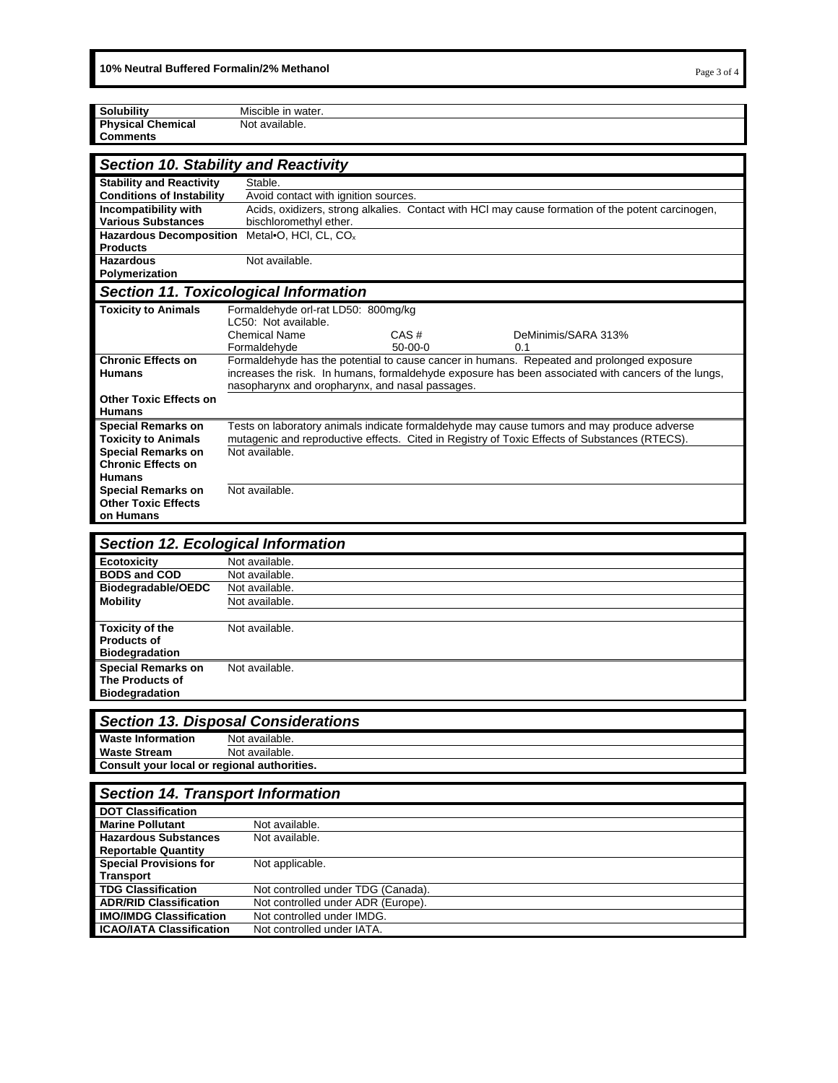| <b>Solubility</b>                | Miscible in water.                              |           |                                                                                                     |  |
|----------------------------------|-------------------------------------------------|-----------|-----------------------------------------------------------------------------------------------------|--|
| <b>Physical Chemical</b>         | Not available.                                  |           |                                                                                                     |  |
| <b>Comments</b>                  |                                                 |           |                                                                                                     |  |
|                                  |                                                 |           |                                                                                                     |  |
|                                  | <b>Section 10. Stability and Reactivity</b>     |           |                                                                                                     |  |
| <b>Stability and Reactivity</b>  | Stable.                                         |           |                                                                                                     |  |
| <b>Conditions of Instability</b> | Avoid contact with ignition sources.            |           |                                                                                                     |  |
| Incompatibility with             |                                                 |           | Acids, oxidizers, strong alkalies. Contact with HCl may cause formation of the potent carcinogen,   |  |
| <b>Various Substances</b>        | bischloromethyl ether.                          |           |                                                                                                     |  |
| <b>Hazardous Decomposition</b>   | Metal•O, HCI, CL, CO <sub>x</sub>               |           |                                                                                                     |  |
| <b>Products</b>                  |                                                 |           |                                                                                                     |  |
| <b>Hazardous</b>                 | Not available.                                  |           |                                                                                                     |  |
| Polymerization                   |                                                 |           |                                                                                                     |  |
|                                  | <b>Section 11. Toxicological Information</b>    |           |                                                                                                     |  |
| <b>Toxicity to Animals</b>       | Formaldehyde orl-rat LD50: 800mg/kg             |           |                                                                                                     |  |
|                                  | LC50: Not available.                            |           |                                                                                                     |  |
|                                  | <b>Chemical Name</b>                            | CAS#      | DeMinimis/SARA 313%                                                                                 |  |
|                                  | Formaldehyde                                    | $50-00-0$ | 0.1                                                                                                 |  |
| <b>Chronic Effects on</b>        |                                                 |           | Formaldehyde has the potential to cause cancer in humans. Repeated and prolonged exposure           |  |
| <b>Humans</b>                    |                                                 |           | increases the risk. In humans, formaldehyde exposure has been associated with cancers of the lungs, |  |
|                                  | nasopharynx and oropharynx, and nasal passages. |           |                                                                                                     |  |
| <b>Other Toxic Effects on</b>    |                                                 |           |                                                                                                     |  |
| <b>Humans</b>                    |                                                 |           |                                                                                                     |  |
| <b>Special Remarks on</b>        |                                                 |           | Tests on laboratory animals indicate formaldehyde may cause tumors and may produce adverse          |  |
| <b>Toxicity to Animals</b>       |                                                 |           | mutagenic and reproductive effects. Cited in Registry of Toxic Effects of Substances (RTECS).       |  |
| <b>Special Remarks on</b>        | Not available.                                  |           |                                                                                                     |  |
| <b>Chronic Effects on</b>        |                                                 |           |                                                                                                     |  |
| <b>Humans</b>                    |                                                 |           |                                                                                                     |  |
| <b>Special Remarks on</b>        | Not available.                                  |           |                                                                                                     |  |
| <b>Other Toxic Effects</b>       |                                                 |           |                                                                                                     |  |
| on Humans                        |                                                 |           |                                                                                                     |  |
|                                  |                                                 |           |                                                                                                     |  |

|                           | <b>Section 12. Ecological Information</b> |
|---------------------------|-------------------------------------------|
| Ecotoxicity               | Not available.                            |
| <b>BODS and COD</b>       | Not available.                            |
| Biodegradable/OEDC        | Not available.                            |
| <b>Mobility</b>           | Not available.                            |
|                           |                                           |
| <b>Toxicity of the</b>    | Not available.                            |
| <b>Products of</b>        |                                           |
| <b>Biodegradation</b>     |                                           |
| <b>Special Remarks on</b> | Not available.                            |
| The Products of           |                                           |
| <b>Biodegradation</b>     |                                           |

| <b>Section 13. Disposal Considerations</b>  |                |  |
|---------------------------------------------|----------------|--|
| <b>Waste Information</b>                    | Not available. |  |
| <b>Waste Stream</b>                         | Not available. |  |
| Consult your local or regional authorities. |                |  |

| <b>Section 14. Transport Information</b> |                                    |  |  |  |
|------------------------------------------|------------------------------------|--|--|--|
| <b>DOT Classification</b>                |                                    |  |  |  |
| <b>Marine Pollutant</b>                  | Not available.                     |  |  |  |
| <b>Hazardous Substances</b>              | Not available.                     |  |  |  |
| <b>Reportable Quantity</b>               |                                    |  |  |  |
| <b>Special Provisions for</b>            | Not applicable.                    |  |  |  |
| <b>Transport</b>                         |                                    |  |  |  |
| <b>TDG Classification</b>                | Not controlled under TDG (Canada). |  |  |  |
| <b>ADR/RID Classification</b>            | Not controlled under ADR (Europe). |  |  |  |
| <b>IMO/IMDG Classification</b>           | Not controlled under IMDG.         |  |  |  |
| <b>ICAO/IATA Classification</b>          | Not controlled under IATA.         |  |  |  |